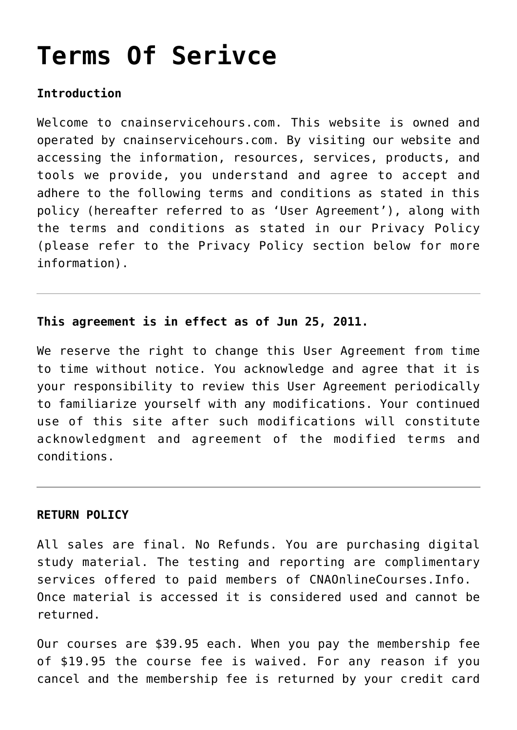# **[Terms Of Serivce](https://cnainservicehours.com/terms-of-serivce/)**

## **Introduction**

Welcome to cnainservicehours.com. This website is owned and operated by cnainservicehours.com. By visiting our website and accessing the information, resources, services, products, and tools we provide, you understand and agree to accept and adhere to the following terms and conditions as stated in this policy (hereafter referred to as 'User Agreement'), along with the terms and conditions as stated in our Privacy Policy (please refer to the Privacy Policy section below for more information).

## **This agreement is in effect as of Jun 25, 2011.**

We reserve the right to change this User Agreement from time to time without notice. You acknowledge and agree that it is your responsibility to review this User Agreement periodically to familiarize yourself with any modifications. Your continued use of this site after such modifications will constitute acknowledgment and agreement of the modified terms and conditions.

### **RETURN POLICY**

All sales are final. No Refunds. You are purchasing digital study material. The testing and reporting are complimentary services offered to paid members of CNAOnlineCourses.Info. Once material is accessed it is considered used and cannot be returned.

Our courses are \$39.95 each. When you pay the membership fee of \$19.95 the course fee is waived. For any reason if you cancel and the membership fee is returned by your credit card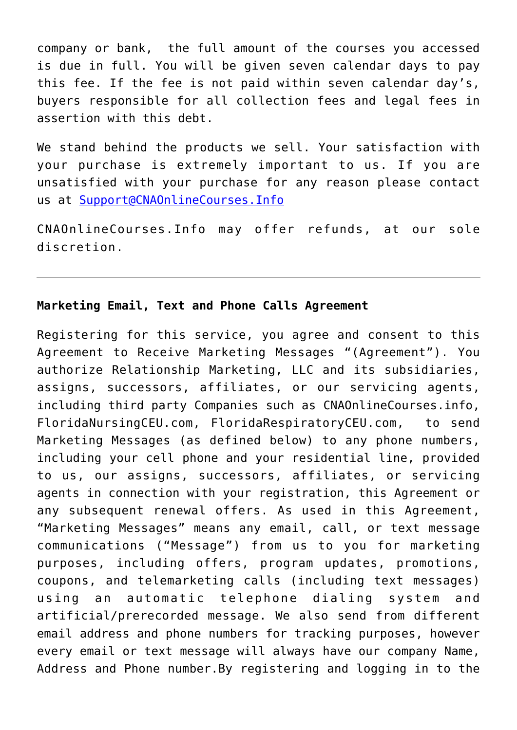company or bank, the full amount of the courses you accessed is due in full. You will be given seven calendar days to pay this fee. If the fee is not paid within seven calendar day's, buyers responsible for all collection fees and legal fees in assertion with this debt.

We stand behind the products we sell. Your satisfaction with your purchase is extremely important to us. If you are unsatisfied with your purchase for any reason please contact us at [Support@CNAOnlineCourses.Info](mailto:Support@CNAOnlineCourses.Info)

CNAOnlineCourses.Info may offer refunds, at our sole discretion.

### **Marketing Email, Text and Phone Calls Agreement**

Registering for this service, you agree and consent to this Agreement to Receive Marketing Messages "(Agreement"). You authorize Relationship Marketing, LLC and its subsidiaries, assigns, successors, affiliates, or our servicing agents, including third party Companies such as CNAOnlineCourses.info, FloridaNursingCEU.com, FloridaRespiratoryCEU.com, to send Marketing Messages (as defined below) to any phone numbers, including your cell phone and your residential line, provided to us, our assigns, successors, affiliates, or servicing agents in connection with your registration, this Agreement or any subsequent renewal offers. As used in this Agreement, "Marketing Messages" means any email, call, or text message communications ("Message") from us to you for marketing purposes, including offers, program updates, promotions, coupons, and telemarketing calls (including text messages) using an automatic telephone dialing system and artificial/prerecorded message. We also send from different email address and phone numbers for tracking purposes, however every email or text message will always have our company Name, Address and Phone number.By registering and logging in to the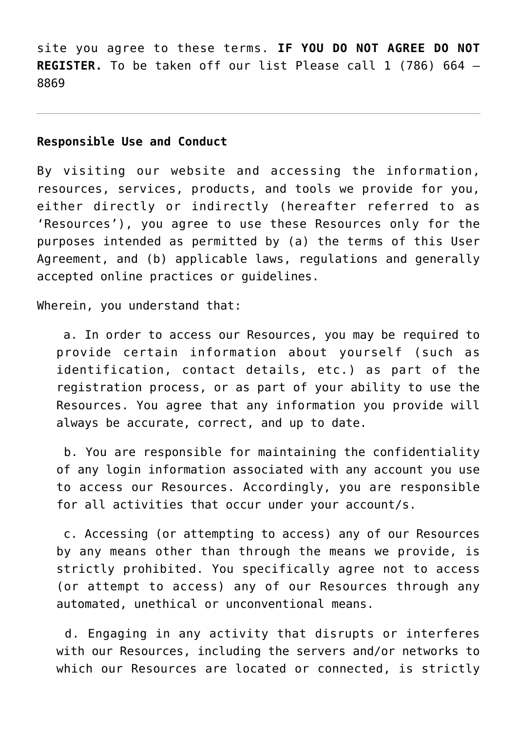site you agree to these terms. **IF YOU DO NOT AGREE DO NOT REGISTER.** To be taken off our list Please call 1 (786) 664 – 8869

#### **Responsible Use and Conduct**

By visiting our website and accessing the information, resources, services, products, and tools we provide for you, either directly or indirectly (hereafter referred to as 'Resources'), you agree to use these Resources only for the purposes intended as permitted by (a) the terms of this User Agreement, and (b) applicable laws, regulations and generally accepted online practices or guidelines.

Wherein, you understand that:

 a. In order to access our Resources, you may be required to provide certain information about yourself (such as identification, contact details, etc.) as part of the registration process, or as part of your ability to use the Resources. You agree that any information you provide will always be accurate, correct, and up to date.

 b. You are responsible for maintaining the confidentiality of any login information associated with any account you use to access our Resources. Accordingly, you are responsible for all activities that occur under your account/s.

 c. Accessing (or attempting to access) any of our Resources by any means other than through the means we provide, is strictly prohibited. You specifically agree not to access (or attempt to access) any of our Resources through any automated, unethical or unconventional means.

 d. Engaging in any activity that disrupts or interferes with our Resources, including the servers and/or networks to which our Resources are located or connected, is strictly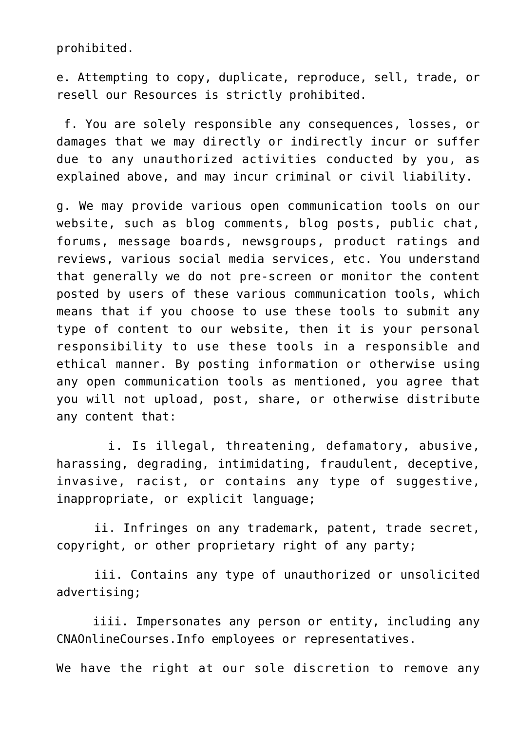prohibited.

e. Attempting to copy, duplicate, reproduce, sell, trade, or resell our Resources is strictly prohibited.

 f. You are solely responsible any consequences, losses, or damages that we may directly or indirectly incur or suffer due to any unauthorized activities conducted by you, as explained above, and may incur criminal or civil liability.

g. We may provide various open communication tools on our website, such as blog comments, blog posts, public chat, forums, message boards, newsgroups, product ratings and reviews, various social media services, etc. You understand that generally we do not pre-screen or monitor the content posted by users of these various communication tools, which means that if you choose to use these tools to submit any type of content to our website, then it is your personal responsibility to use these tools in a responsible and ethical manner. By posting information or otherwise using any open communication tools as mentioned, you agree that you will not upload, post, share, or otherwise distribute any content that:

 i. Is illegal, threatening, defamatory, abusive, harassing, degrading, intimidating, fraudulent, deceptive, invasive, racist, or contains any type of suggestive, inappropriate, or explicit language;

 ii. Infringes on any trademark, patent, trade secret, copyright, or other proprietary right of any party;

 iii. Contains any type of unauthorized or unsolicited advertising;

 iiii. Impersonates any person or entity, including any CNAOnlineCourses.Info employees or representatives.

We have the right at our sole discretion to remove any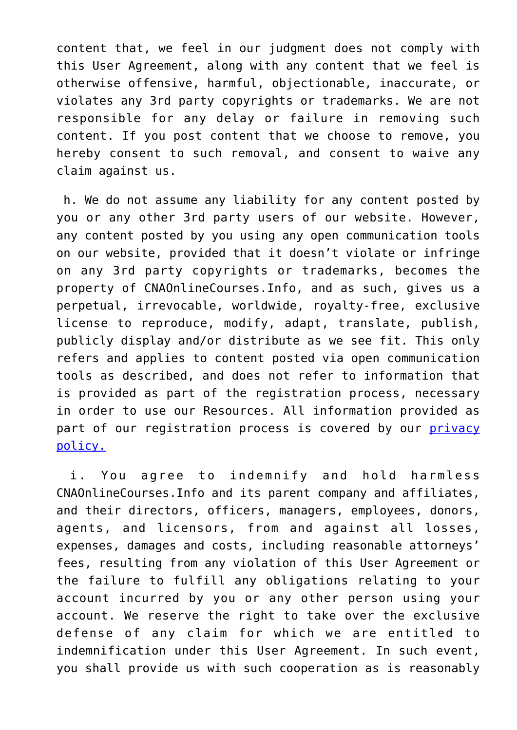content that, we feel in our judgment does not comply with this User Agreement, along with any content that we feel is otherwise offensive, harmful, objectionable, inaccurate, or violates any 3rd party copyrights or trademarks. We are not responsible for any delay or failure in removing such content. If you post content that we choose to remove, you hereby consent to such removal, and consent to waive any claim against us.

 h. We do not assume any liability for any content posted by you or any other 3rd party users of our website. However, any content posted by you using any open communication tools on our website, provided that it doesn't violate or infringe on any 3rd party copyrights or trademarks, becomes the property of CNAOnlineCourses.Info, and as such, gives us a perpetual, irrevocable, worldwide, royalty-free, exclusive license to reproduce, modify, adapt, translate, publish, publicly display and/or distribute as we see fit. This only refers and applies to content posted via open communication tools as described, and does not refer to information that is provided as part of the registration process, necessary in order to use our Resources. All information provided as part of our registration process is covered by our [privacy](https://cnainservicehours.com/privacy-policy/) [policy.](https://cnainservicehours.com/privacy-policy/)

 i. You agree to indemnify and hold harmless CNAOnlineCourses.Info and its parent company and affiliates, and their directors, officers, managers, employees, donors, agents, and licensors, from and against all losses, expenses, damages and costs, including reasonable attorneys' fees, resulting from any violation of this User Agreement or the failure to fulfill any obligations relating to your account incurred by you or any other person using your account. We reserve the right to take over the exclusive defense of any claim for which we are entitled to indemnification under this User Agreement. In such event, you shall provide us with such cooperation as is reasonably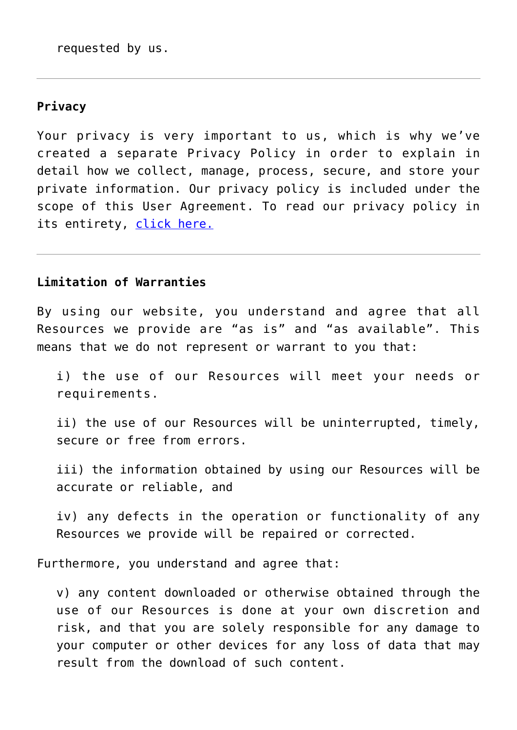requested by us.

## **Privacy**

Your privacy is very important to us, which is why we've created a separate Privacy Policy in order to explain in detail how we collect, manage, process, secure, and store your private information. Our privacy policy is included under the scope of this User Agreement. To read our privacy policy in its entirety, [click here.](https://cnainservicehours.com/privacy-policy/)

# **Limitation of Warranties**

By using our website, you understand and agree that all Resources we provide are "as is" and "as available". This means that we do not represent or warrant to you that:

i) the use of our Resources will meet your needs or requirements.

ii) the use of our Resources will be uninterrupted, timely, secure or free from errors.

iii) the information obtained by using our Resources will be accurate or reliable, and

iv) any defects in the operation or functionality of any Resources we provide will be repaired or corrected.

Furthermore, you understand and agree that:

v) any content downloaded or otherwise obtained through the use of our Resources is done at your own discretion and risk, and that you are solely responsible for any damage to your computer or other devices for any loss of data that may result from the download of such content.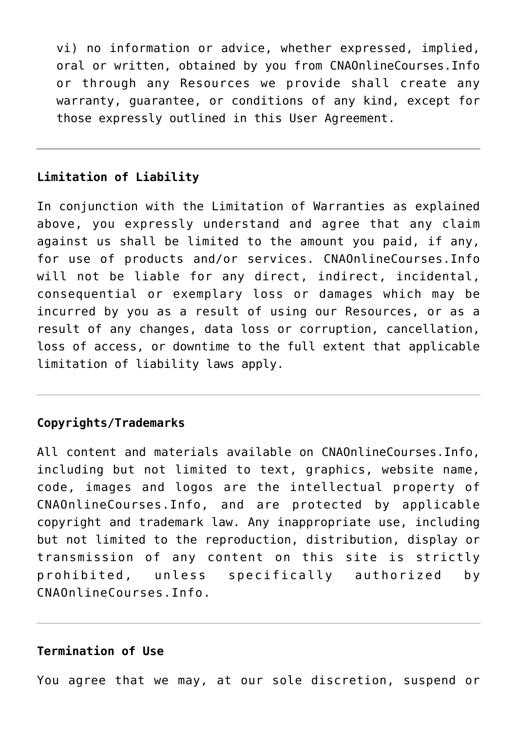vi) no information or advice, whether expressed, implied, oral or written, obtained by you from CNAOnlineCourses.Info or through any Resources we provide shall create any warranty, guarantee, or conditions of any kind, except for those expressly outlined in this User Agreement.

## **Limitation of Liability**

In conjunction with the Limitation of Warranties as explained above, you expressly understand and agree that any claim against us shall be limited to the amount you paid, if any, for use of products and/or services. CNAOnlineCourses.Info will not be liable for any direct, indirect, incidental, consequential or exemplary loss or damages which may be incurred by you as a result of using our Resources, or as a result of any changes, data loss or corruption, cancellation, loss of access, or downtime to the full extent that applicable limitation of liability laws apply.

## **Copyrights/Trademarks**

All content and materials available on CNAOnlineCourses.Info, including but not limited to text, graphics, website name, code, images and logos are the intellectual property of CNAOnlineCourses.Info, and are protected by applicable copyright and trademark law. Any inappropriate use, including but not limited to the reproduction, distribution, display or transmission of any content on this site is strictly prohibited, unless specifically authorized by CNAOnlineCourses.Info.

## **Termination of Use**

You agree that we may, at our sole discretion, suspend or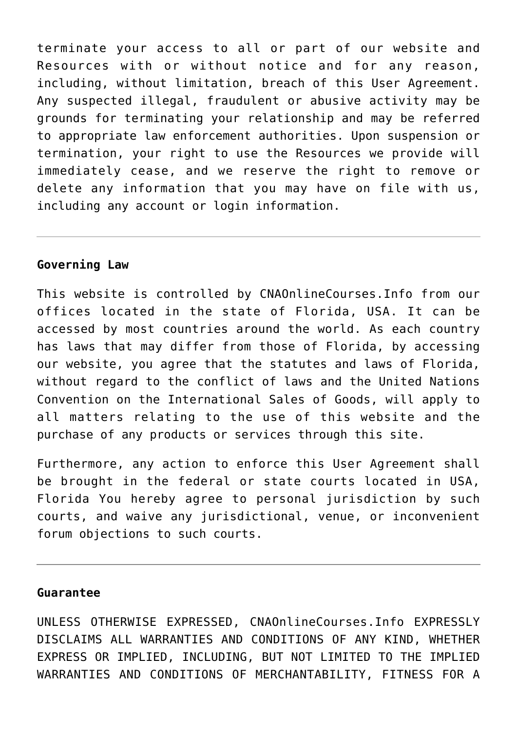terminate your access to all or part of our website and Resources with or without notice and for any reason, including, without limitation, breach of this User Agreement. Any suspected illegal, fraudulent or abusive activity may be grounds for terminating your relationship and may be referred to appropriate law enforcement authorities. Upon suspension or termination, your right to use the Resources we provide will immediately cease, and we reserve the right to remove or delete any information that you may have on file with us, including any account or login information.

### **Governing Law**

This website is controlled by CNAOnlineCourses.Info from our offices located in the state of Florida, USA. It can be accessed by most countries around the world. As each country has laws that may differ from those of Florida, by accessing our website, you agree that the statutes and laws of Florida, without regard to the conflict of laws and the United Nations Convention on the International Sales of Goods, will apply to all matters relating to the use of this website and the purchase of any products or services through this site.

Furthermore, any action to enforce this User Agreement shall be brought in the federal or state courts located in USA, Florida You hereby agree to personal jurisdiction by such courts, and waive any jurisdictional, venue, or inconvenient forum objections to such courts.

#### **Guarantee**

UNLESS OTHERWISE EXPRESSED, CNAOnlineCourses.Info EXPRESSLY DISCLAIMS ALL WARRANTIES AND CONDITIONS OF ANY KIND, WHETHER EXPRESS OR IMPLIED, INCLUDING, BUT NOT LIMITED TO THE IMPLIED WARRANTIES AND CONDITIONS OF MERCHANTABILITY, FITNESS FOR A